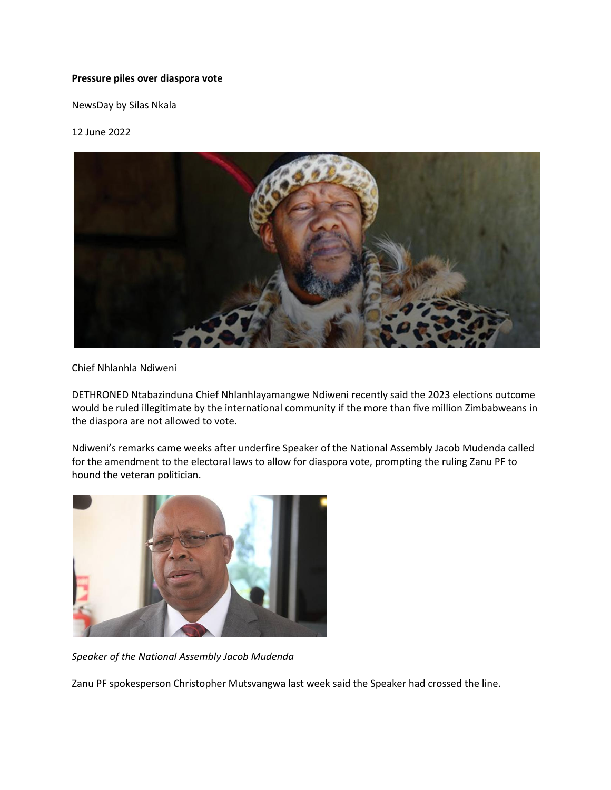## **Pressure piles over diaspora vote**

NewsDay by Silas Nkala

## 12 June 2022



## Chief Nhlanhla Ndiweni

DETHRONED Ntabazinduna Chief Nhlanhlayamangwe Ndiweni recently said the 2023 elections outcome would be ruled illegitimate by the international community if the more than five million Zimbabweans in the diaspora are not allowed to vote.

Ndiweni's remarks came weeks after underfire Speaker of the National Assembly Jacob Mudenda called for the amendment to the electoral laws to allow for diaspora vote, prompting the ruling Zanu PF to hound the veteran politician.



*Speaker of the National Assembly Jacob Mudenda*

Zanu PF spokesperson Christopher Mutsvangwa last week said the Speaker had crossed the line.